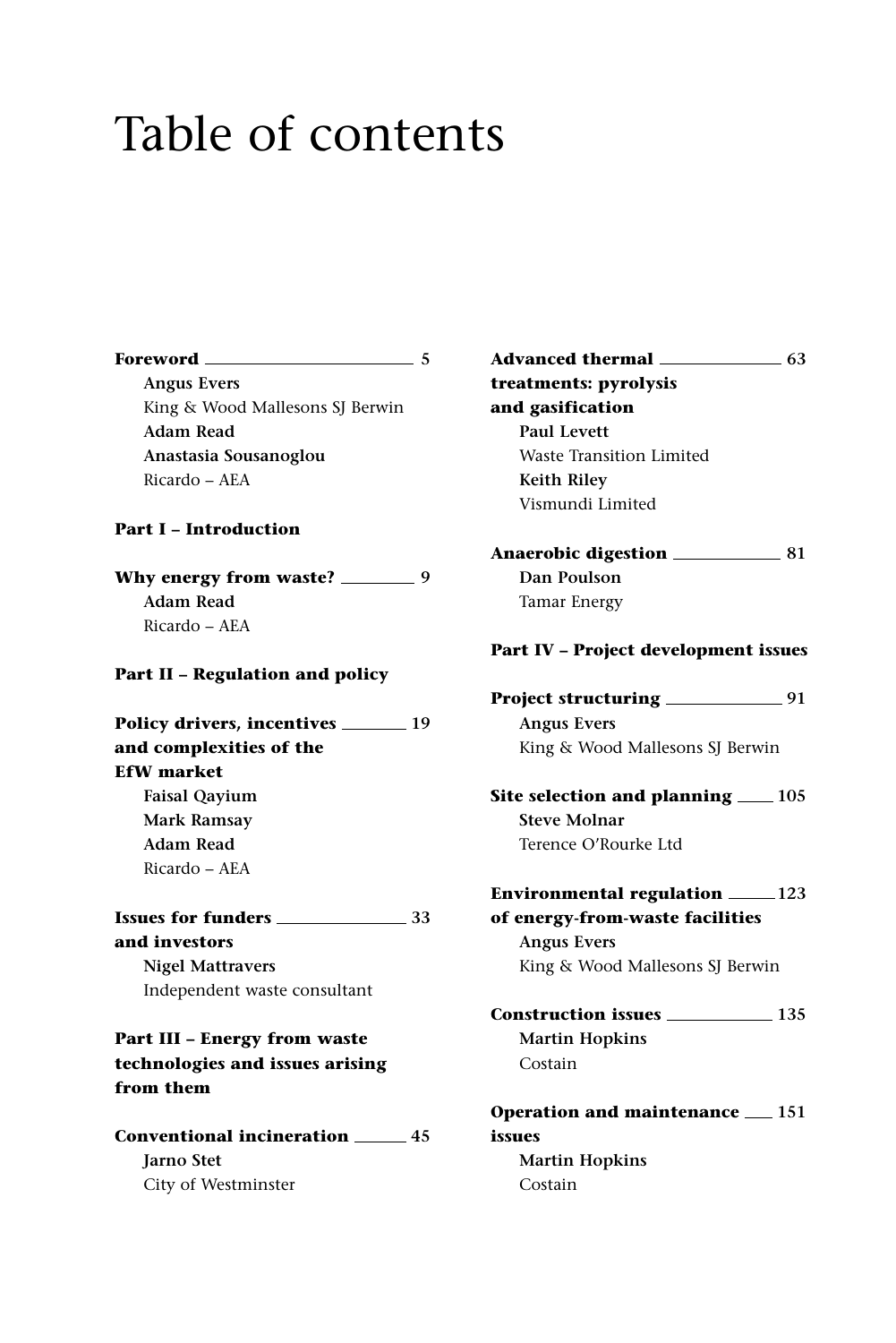## Table of contents

| <b>Angus Evers</b>                    | treatments: pyrolysis                       |
|---------------------------------------|---------------------------------------------|
| King & Wood Mallesons SJ Berwin       | and gasification                            |
| <b>Adam Read</b>                      | <b>Paul Levett</b>                          |
| Anastasia Sousanoglou                 | Waste Transition Limited                    |
| Ricardo - AEA                         | <b>Keith Riley</b>                          |
|                                       | Vismundi Limited                            |
| <b>Part I – Introduction</b>          |                                             |
|                                       |                                             |
| Why energy from waste? _________ 9    | Dan Poulson                                 |
| <b>Adam Read</b>                      | <b>Tamar Energy</b>                         |
| Ricardo - AEA                         |                                             |
|                                       | <b>Part IV - Project development issues</b> |
| Part II - Regulation and policy       |                                             |
|                                       |                                             |
| Policy drivers, incentives _______ 19 | <b>Angus Evers</b>                          |
| and complexities of the               | King & Wood Mallesons SJ Berwin             |
| <b>EfW</b> market                     |                                             |
| <b>Faisal Qayium</b>                  | Site selection and planning ____ 105        |
| Mark Ramsay                           | <b>Steve Molnar</b>                         |
| <b>Adam Read</b>                      | Terence O'Rourke Ltd                        |
| Ricardo - AEA                         |                                             |
|                                       | <b>Environmental regulation</b> ______ 123  |
|                                       | of energy-from-waste facilities             |
| and investors                         | <b>Angus Evers</b>                          |
| <b>Nigel Mattravers</b>               | King & Wood Mallesons SJ Berwin             |
| Independent waste consultant          |                                             |
|                                       | Construction issues 2008 135                |
| Part III - Energy from waste          | <b>Martin Hopkins</b>                       |
| technologies and issues arising       | Costain                                     |
| from them                             |                                             |
|                                       | Operation and maintenance __ 151            |
| Conventional incineration ______ 45   | issues                                      |
| <b>Jarno Stet</b>                     | <b>Martin Hopkins</b>                       |
| City of Westminster                   | Costain                                     |